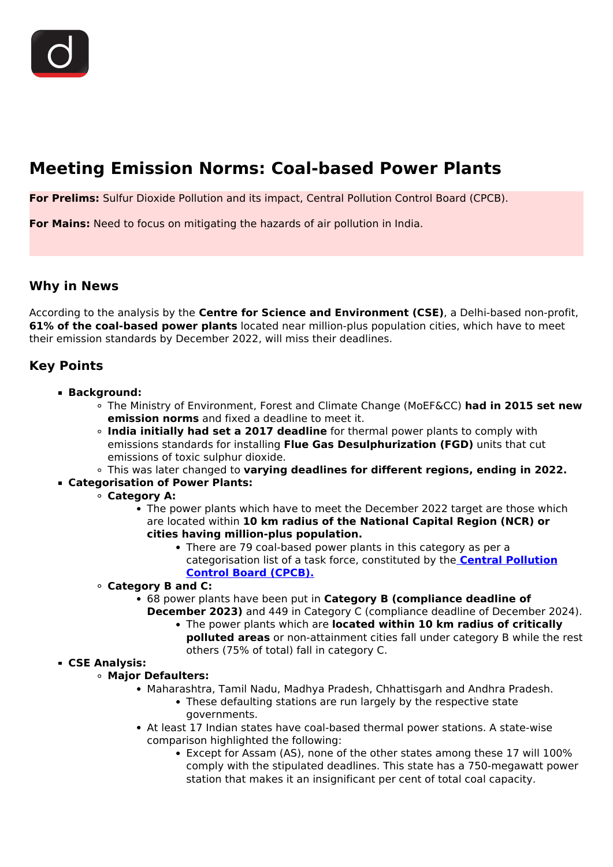# **Meeting Emission Norms: Coal-based Power Plants**

**For Prelims:** Sulfur Dioxide Pollution and its impact, Central Pollution Control Board (CPCB).

**For Mains:** Need to focus on mitigating the hazards of air pollution in India.

### **Why in News**

According to the analysis by the **Centre for Science and Environment (CSE)**, a Delhi-based non-profit, **61% of the coal-based power plants** located near million-plus population cities, which have to meet their emission standards by December 2022, will miss their deadlines.

## **Key Points**

- **Background:**
	- The Ministry of Environment, Forest and Climate Change (MoEF&CC) **had in 2015 set new emission norms** and fixed a deadline to meet it.
	- **India initially had set a 2017 deadline** for thermal power plants to comply with emissions standards for installing **Flue Gas Desulphurization (FGD)** units that cut emissions of toxic sulphur dioxide.
	- This was later changed to **varying deadlines for different regions, ending in 2022.**
- **Categorisation of Power Plants:**
	- **Category A:**
		- The power plants which have to meet the December 2022 target are those which are located within **10 km radius of the National Capital Region (NCR) or cities having million-plus population.**
			- There are 79 coal-based power plants in this category as per a categorisation list of a task force, constituted by the **[Central Pollution](/daily-updates/daily-news-analysis/cpcb-notifies-contaminated-sites) [Control Board \(CPCB\).](/daily-updates/daily-news-analysis/cpcb-notifies-contaminated-sites)**
	- **Category B and C:**
		- 68 power plants have been put in **Category B (compliance deadline of**
			- **December 2023)** and 449 in Category C (compliance deadline of December 2024).
				- The power plants which are **located within 10 km radius of critically polluted areas** or non-attainment cities fall under category B while the rest others (75% of total) fall in category C.
- **CSE Analysis:**
	- **Major Defaulters:**
		- Maharashtra, Tamil Nadu, Madhya Pradesh, Chhattisgarh and Andhra Pradesh. • These defaulting stations are run largely by the respective state
			- governments.
		- At least 17 Indian states have coal-based thermal power stations. A state-wise comparison highlighted the following:
			- Except for Assam (AS), none of the other states among these 17 will 100% comply with the stipulated deadlines. This state has a 750-megawatt power station that makes it an insignificant per cent of total coal capacity.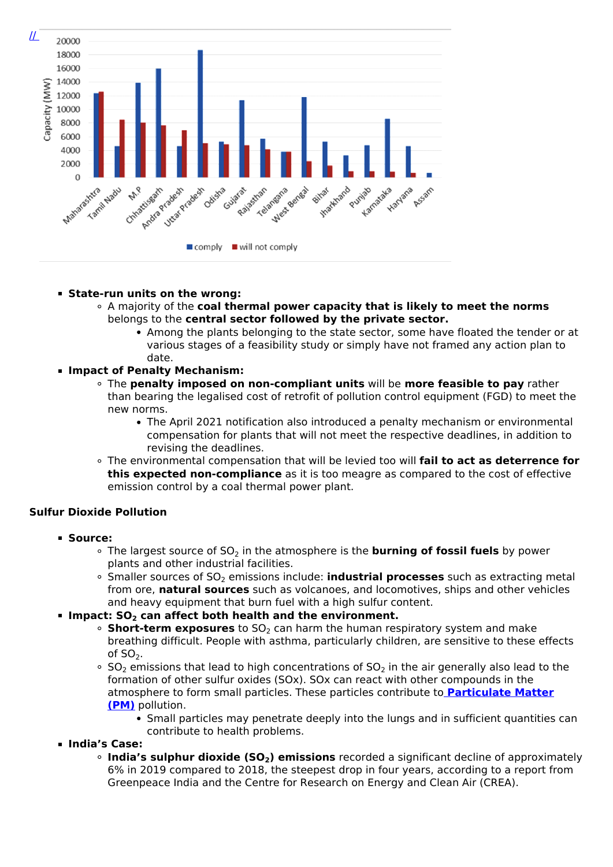

#### **State-run units on the wrong:**

- A majority of the **coal thermal power capacity that is likely to meet the norms** belongs to the **central sector followed by the private sector.**
	- Among the plants belonging to the state sector, some have floated the tender or at various stages of a feasibility study or simply have not framed any action plan to date.

#### **Impact of Penalty Mechanism:**

- The **penalty imposed on non-compliant units** will be **more feasible to pay** rather than bearing the legalised cost of retrofit of pollution control equipment (FGD) to meet the new norms.
	- The April 2021 notification also introduced a penalty mechanism or environmental compensation for plants that will not meet the respective deadlines, in addition to revising the deadlines.
- The environmental compensation that will be levied too will **fail to act as deterrence for this expected non-compliance** as it is too meagre as compared to the cost of effective emission control by a coal thermal power plant.

#### **Sulfur Dioxide Pollution**

- **Source:**
	- <sup>o</sup> The largest source of SO<sub>2</sub> in the atmosphere is the **burning of fossil fuels** by power plants and other industrial facilities.
	- <sup>o</sup> Smaller sources of SO<sub>2</sub> emissions include: **industrial processes** such as extracting metal from ore, **natural sources** such as volcanoes, and locomotives, ships and other vehicles and heavy equipment that burn fuel with a high sulfur content.

#### **Impact: SO2 can affect both health and the environment.**

- **Short-term exposures** to SO<sub>2</sub> can harm the human respiratory system and make breathing difficult. People with asthma, particularly children, are sensitive to these effects of  $SO<sub>2</sub>$ .
- $\circ$  SO<sub>2</sub> emissions that lead to high concentrations of SO<sub>2</sub> in the air generally also lead to the formation of other sulfur oxides (SOx). SOx can react with other compounds in the atmosphere to form small particles. These particles contribute to **[Particulate Matter](/daily-updates/daily-news-analysis/dashboard-for-monitoring-air-quality) [\(PM\)](/daily-updates/daily-news-analysis/dashboard-for-monitoring-air-quality)** pollution.
	- Small particles may penetrate deeply into the lungs and in sufficient quantities can contribute to health problems.

#### **India's Case:**

**India's sulphur dioxide (SO2) emissions** recorded a significant decline of approximately 6% in 2019 compared to 2018, the steepest drop in four years, according to a report from Greenpeace India and the Centre for Research on Energy and Clean Air (CREA).